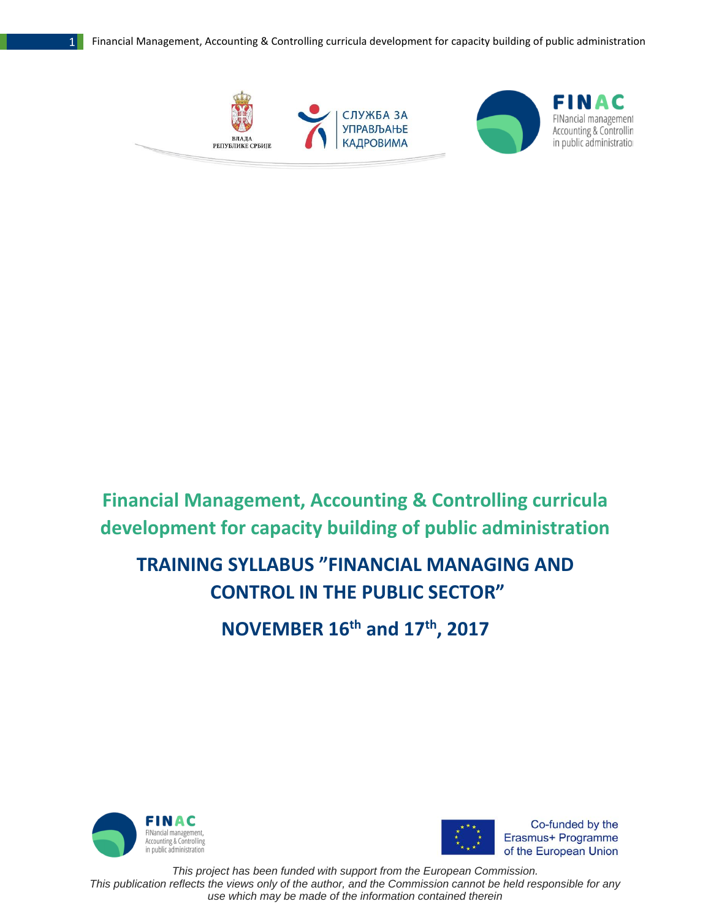

# **Financial Management, Accounting & Controlling curricula development for capacity building of public administration**

## **TRAINING SYLLABUS "FINANCIAL MANAGING AND CONTROL IN THE PUBLIC SECTOR"**

**NOVEMBER 16th and 17th , 2017**





Co-funded by the Erasmus+ Programme of the European Union

*This project has been funded with support from the European Commission. This publication reflects the views only of the author, and the Commission cannot be held responsible for any use which may be made of the information contained therein*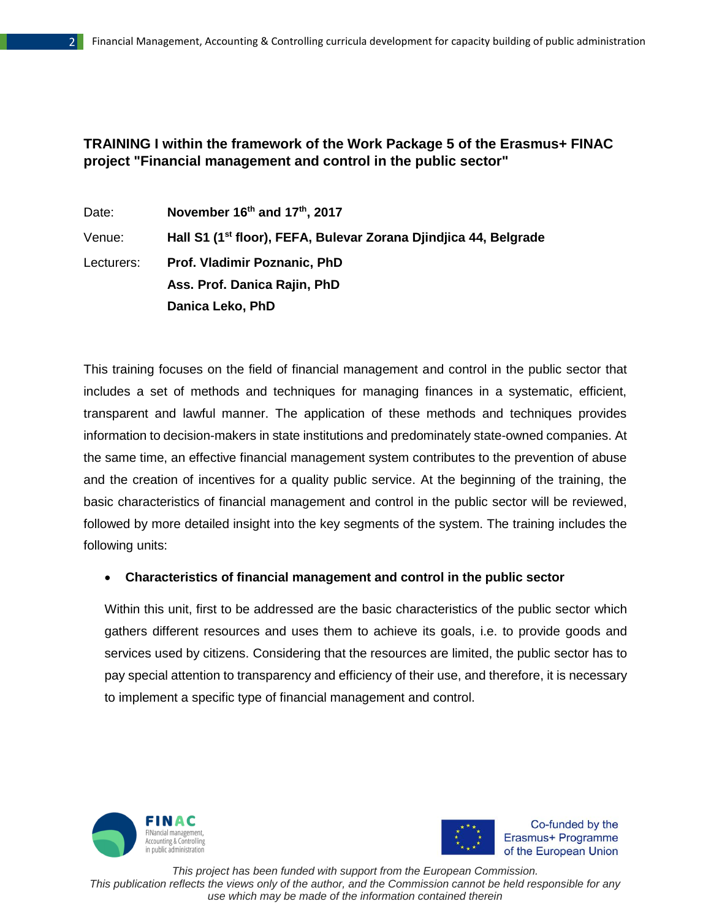## **TRAINING I within the framework of the Work Package 5 of the Erasmus+ FINAC project "Financial management and control in the public sector"**

Date: **November 16th and 17th , 2017** Venue: **Hall S1 (1st floor), FEFA, Bulevar Zorana Djindjica 44, Belgrade** Lecturers: **Prof. Vladimir Poznanic, PhD Ass. Prof. Danica Rajin, PhD Danica Leko, PhD**

This training focuses on the field of financial management and control in the public sector that includes a set of methods and techniques for managing finances in a systematic, efficient, transparent and lawful manner. The application of these methods and techniques provides information to decision-makers in state institutions and predominately state-owned companies. At the same time, an effective financial management system contributes to the prevention of abuse and the creation of incentives for a quality public service. At the beginning of the training, the basic characteristics of financial management and control in the public sector will be reviewed, followed by more detailed insight into the key segments of the system. The training includes the following units:

#### **Characteristics of financial management and control in the public sector**

Within this unit, first to be addressed are the basic characteristics of the public sector which gathers different resources and uses them to achieve its goals, i.e. to provide goods and services used by citizens. Considering that the resources are limited, the public sector has to pay special attention to transparency and efficiency of their use, and therefore, it is necessary to implement a specific type of financial management and control.





Co-funded by the Erasmus+ Programme of the European Union

*This project has been funded with support from the European Commission. This publication reflects the views only of the author, and the Commission cannot be held responsible for any use which may be made of the information contained therein*